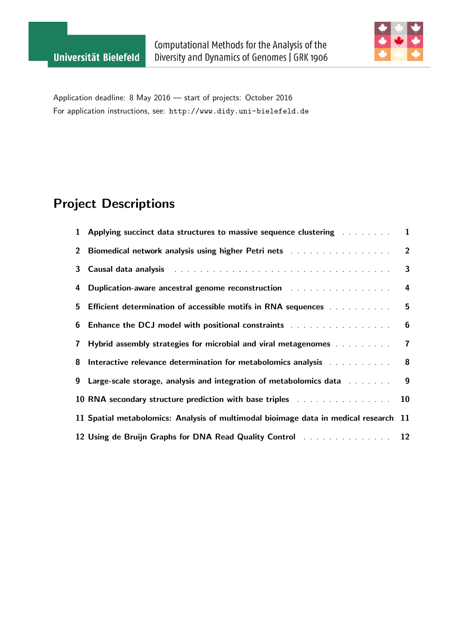

Application deadline: 8 May 2016 — start of projects: October 2016 For application instructions, see: <http://www.didy.uni-bielefeld.de>

# Project Descriptions

|              | 1 Applying succinct data structures to massive sequence clustering Alexander Constants                                                                                                                                              | $\mathbf{1}$   |
|--------------|-------------------------------------------------------------------------------------------------------------------------------------------------------------------------------------------------------------------------------------|----------------|
| $2^{\circ}$  | <b>Biomedical network analysis using higher Petri nets and the summan state of the Biomedical network</b>                                                                                                                           | $\overline{2}$ |
| 3            | Causal data analysis and all contained and all contained and all contained and all contained and all contained                                                                                                                      | 3              |
| 4            | <b>Duplication-aware ancestral genome reconstruction</b> and a subsequent of the set of the set of the set of the set of the set of the set of the set of the set of the set of the set of the set of the set of the set of the set | 4              |
|              | 5 Efficient determination of accessible motifs in RNA sequences we were asset to the                                                                                                                                                | 5              |
|              | 6 Enhance the DCJ model with positional constraints Alexander Manager and School and School and School and School and School and School and School and School and School and School and School and School and School and Schoo      | 6              |
| $\mathbf{7}$ | <b>Hybrid assembly strategies for microbial and viral metagenomes</b>                                                                                                                                                               | $\overline{7}$ |
| 8            | Interactive relevance determination for metabolomics analysis and an analysis and all the relationships and the                                                                                                                     | $\bf{8}$       |
| 9            | Large-scale storage, analysis and integration of metabolomics data and as a constant                                                                                                                                                | 9              |
|              | 10 RNA secondary structure prediction with base triples and an amount of the secondary structure prediction with base triples                                                                                                       | 10             |
|              | 11 Spatial metabolomics: Analysis of multimodal bioimage data in medical research 11                                                                                                                                                |                |
|              |                                                                                                                                                                                                                                     |                |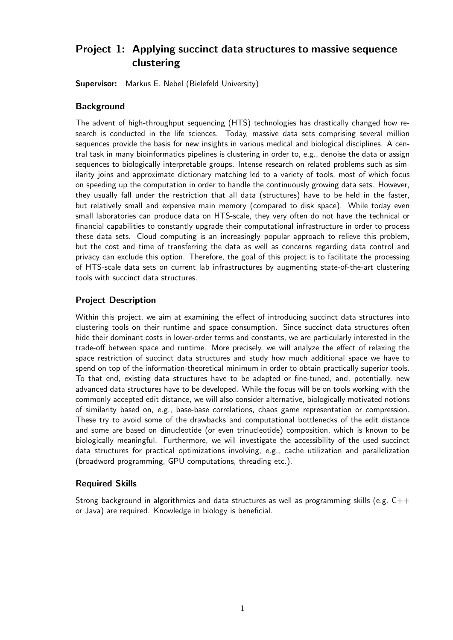## <span id="page-1-0"></span>Project 1: Applying succinct data structures to massive sequence clustering

Supervisor: Markus E. Nebel (Bielefeld University)

#### **Background**

The advent of high-throughput sequencing (HTS) technologies has drastically changed how research is conducted in the life sciences. Today, massive data sets comprising several million sequences provide the basis for new insights in various medical and biological disciplines. A central task in many bioinformatics pipelines is clustering in order to, e.g., denoise the data or assign sequences to biologically interpretable groups. Intense research on related problems such as similarity joins and approximate dictionary matching led to a variety of tools, most of which focus on speeding up the computation in order to handle the continuously growing data sets. However, they usually fall under the restriction that all data (structures) have to be held in the faster, but relatively small and expensive main memory (compared to disk space). While today even small laboratories can produce data on HTS-scale, they very often do not have the technical or financial capabilities to constantly upgrade their computational infrastructure in order to process these data sets. Cloud computing is an increasingly popular approach to relieve this problem, but the cost and time of transferring the data as well as concerns regarding data control and privacy can exclude this option. Therefore, the goal of this project is to facilitate the processing of HTS-scale data sets on current lab infrastructures by augmenting state-of-the-art clustering tools with succinct data structures.

### Project Description

Within this project, we aim at examining the effect of introducing succinct data structures into clustering tools on their runtime and space consumption. Since succinct data structures often hide their dominant costs in lower-order terms and constants, we are particularly interested in the trade-off between space and runtime. More precisely, we will analyze the effect of relaxing the space restriction of succinct data structures and study how much additional space we have to spend on top of the information-theoretical minimum in order to obtain practically superior tools. To that end, existing data structures have to be adapted or fine-tuned, and, potentially, new advanced data structures have to be developed. While the focus will be on tools working with the commonly accepted edit distance, we will also consider alternative, biologically motivated notions of similarity based on, e.g., base-base correlations, chaos game representation or compression. These try to avoid some of the drawbacks and computational bottlenecks of the edit distance and some are based on dinucleotide (or even trinucleotide) composition, which is known to be biologically meaningful. Furthermore, we will investigate the accessibility of the used succinct data structures for practical optimizations involving, e.g., cache utilization and parallelization (broadword programming, GPU computations, threading etc.).

#### Required Skills

Strong background in algorithmics and data structures as well as programming skills (e.g.  $C++$ or Java) are required. Knowledge in biology is beneficial.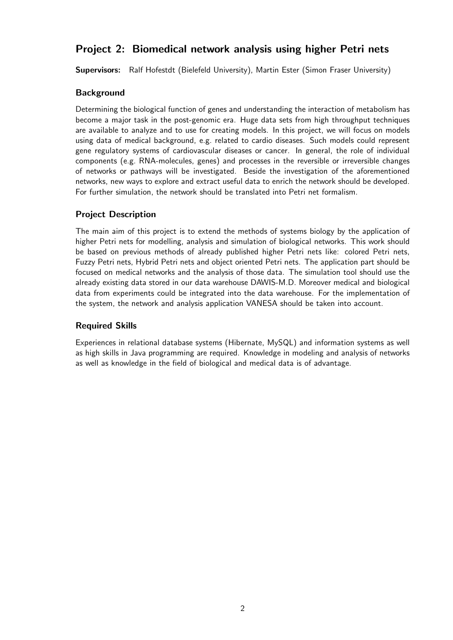## <span id="page-2-0"></span>Project 2: Biomedical network analysis using higher Petri nets

Supervisors: Ralf Hofestdt (Bielefeld University), Martin Ester (Simon Fraser University)

### **Background**

Determining the biological function of genes and understanding the interaction of metabolism has become a major task in the post-genomic era. Huge data sets from high throughput techniques are available to analyze and to use for creating models. In this project, we will focus on models using data of medical background, e.g. related to cardio diseases. Such models could represent gene regulatory systems of cardiovascular diseases or cancer. In general, the role of individual components (e.g. RNA-molecules, genes) and processes in the reversible or irreversible changes of networks or pathways will be investigated. Beside the investigation of the aforementioned networks, new ways to explore and extract useful data to enrich the network should be developed. For further simulation, the network should be translated into Petri net formalism.

### Project Description

The main aim of this project is to extend the methods of systems biology by the application of higher Petri nets for modelling, analysis and simulation of biological networks. This work should be based on previous methods of already published higher Petri nets like: colored Petri nets, Fuzzy Petri nets, Hybrid Petri nets and object oriented Petri nets. The application part should be focused on medical networks and the analysis of those data. The simulation tool should use the already existing data stored in our data warehouse DAWIS-M.D. Moreover medical and biological data from experiments could be integrated into the data warehouse. For the implementation of the system, the network and analysis application VANESA should be taken into account.

## Required Skills

Experiences in relational database systems (Hibernate, MySQL) and information systems as well as high skills in Java programming are required. Knowledge in modeling and analysis of networks as well as knowledge in the field of biological and medical data is of advantage.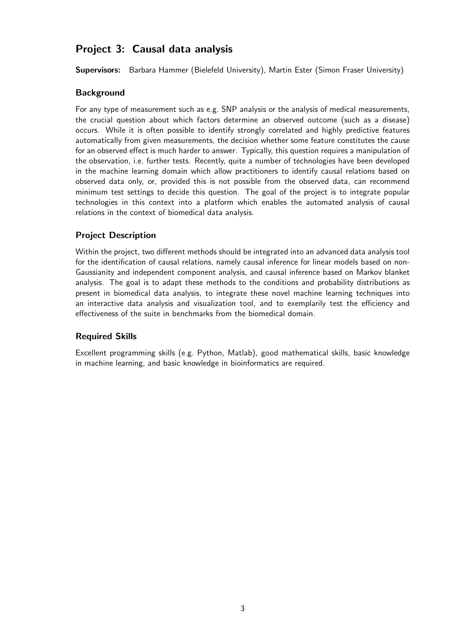## <span id="page-3-0"></span>Project 3: Causal data analysis

Supervisors: Barbara Hammer (Bielefeld University), Martin Ester (Simon Fraser University)

### **Background**

For any type of measurement such as e.g. SNP analysis or the analysis of medical measurements, the crucial question about which factors determine an observed outcome (such as a disease) occurs. While it is often possible to identify strongly correlated and highly predictive features automatically from given measurements, the decision whether some feature constitutes the cause for an observed effect is much harder to answer. Typically, this question requires a manipulation of the observation, i.e. further tests. Recently, quite a number of technologies have been developed in the machine learning domain which allow practitioners to identify causal relations based on observed data only, or, provided this is not possible from the observed data, can recommend minimum test settings to decide this question. The goal of the project is to integrate popular technologies in this context into a platform which enables the automated analysis of causal relations in the context of biomedical data analysis.

## Project Description

Within the project, two different methods should be integrated into an advanced data analysis tool for the identification of causal relations, namely causal inference for linear models based on non-Gaussianity and independent component analysis, and causal inference based on Markov blanket analysis. The goal is to adapt these methods to the conditions and probability distributions as present in biomedical data analysis, to integrate these novel machine learning techniques into an interactive data analysis and visualization tool, and to exemplarily test the efficiency and effectiveness of the suite in benchmarks from the biomedical domain.

## Required Skills

Excellent programming skills (e.g. Python, Matlab), good mathematical skills, basic knowledge in machine learning, and basic knowledge in bioinformatics are required.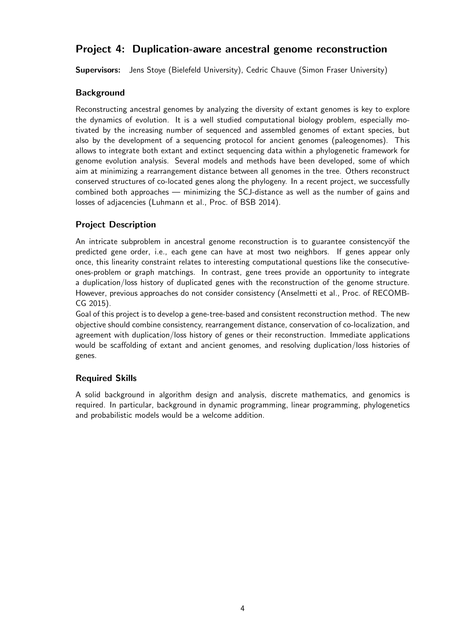## <span id="page-4-0"></span>Project 4: Duplication-aware ancestral genome reconstruction

Supervisors: Jens Stoye (Bielefeld University), Cedric Chauve (Simon Fraser University)

## **Background**

Reconstructing ancestral genomes by analyzing the diversity of extant genomes is key to explore the dynamics of evolution. It is a well studied computational biology problem, especially motivated by the increasing number of sequenced and assembled genomes of extant species, but also by the development of a sequencing protocol for ancient genomes (paleogenomes). This allows to integrate both extant and extinct sequencing data within a phylogenetic framework for genome evolution analysis. Several models and methods have been developed, some of which aim at minimizing a rearrangement distance between all genomes in the tree. Others reconstruct conserved structures of co-located genes along the phylogeny. In a recent project, we successfully combined both approaches — minimizing the SCJ-distance as well as the number of gains and losses of adjacencies (Luhmann et al., Proc. of BSB 2014).

## Project Description

An intricate subproblem in ancestral genome reconstruction is to guarantee consistency of the predicted gene order, i.e., each gene can have at most two neighbors. If genes appear only once, this linearity constraint relates to interesting computational questions like the consecutiveones-problem or graph matchings. In contrast, gene trees provide an opportunity to integrate a duplication/loss history of duplicated genes with the reconstruction of the genome structure. However, previous approaches do not consider consistency (Anselmetti et al., Proc. of RECOMB-CG 2015).

Goal of this project is to develop a gene-tree-based and consistent reconstruction method. The new objective should combine consistency, rearrangement distance, conservation of co-localization, and agreement with duplication/loss history of genes or their reconstruction. Immediate applications would be scaffolding of extant and ancient genomes, and resolving duplication/loss histories of genes.

## Required Skills

A solid background in algorithm design and analysis, discrete mathematics, and genomics is required. In particular, background in dynamic programming, linear programming, phylogenetics and probabilistic models would be a welcome addition.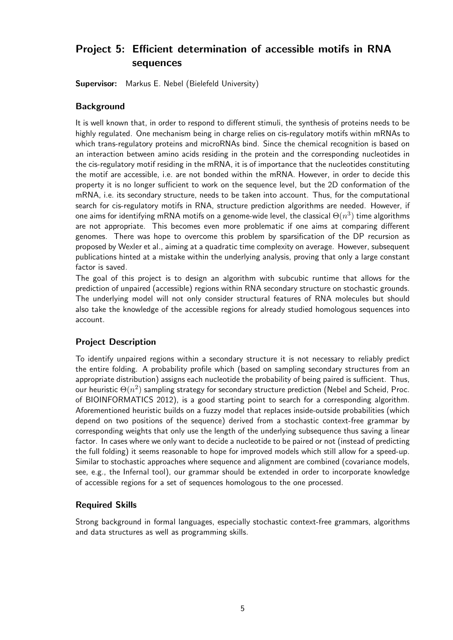## <span id="page-5-0"></span>Project 5: Efficient determination of accessible motifs in RNA sequences

Supervisor: Markus E. Nebel (Bielefeld University)

#### **Background**

It is well known that, in order to respond to different stimuli, the synthesis of proteins needs to be highly regulated. One mechanism being in charge relies on cis-regulatory motifs within mRNAs to which trans-regulatory proteins and microRNAs bind. Since the chemical recognition is based on an interaction between amino acids residing in the protein and the corresponding nucleotides in the cis-regulatory motif residing in the mRNA, it is of importance that the nucleotides constituting the motif are accessible, i.e. are not bonded within the mRNA. However, in order to decide this property it is no longer sufficient to work on the sequence level, but the 2D conformation of the mRNA, i.e. its secondary structure, needs to be taken into account. Thus, for the computational search for cis-regulatory motifs in RNA, structure prediction algorithms are needed. However, if one aims for identifying mRNA motifs on a genome-wide level, the classical  $\Theta(n^3)$  time algorithms are not appropriate. This becomes even more problematic if one aims at comparing different genomes. There was hope to overcome this problem by sparsification of the DP recursion as proposed by Wexler et al., aiming at a quadratic time complexity on average. However, subsequent publications hinted at a mistake within the underlying analysis, proving that only a large constant factor is saved.

The goal of this project is to design an algorithm with subcubic runtime that allows for the prediction of unpaired (accessible) regions within RNA secondary structure on stochastic grounds. The underlying model will not only consider structural features of RNA molecules but should also take the knowledge of the accessible regions for already studied homologous sequences into account.

## Project Description

To identify unpaired regions within a secondary structure it is not necessary to reliably predict the entire folding. A probability profile which (based on sampling secondary structures from an appropriate distribution) assigns each nucleotide the probability of being paired is sufficient. Thus, our heuristic  $\Theta(n^2)$  sampling strategy for secondary structure prediction (Nebel and Scheid, Proc. of BIOINFORMATICS 2012), is a good starting point to search for a corresponding algorithm. Aforementioned heuristic builds on a fuzzy model that replaces inside-outside probabilities (which depend on two positions of the sequence) derived from a stochastic context-free grammar by corresponding weights that only use the length of the underlying subsequence thus saving a linear factor. In cases where we only want to decide a nucleotide to be paired or not (instead of predicting the full folding) it seems reasonable to hope for improved models which still allow for a speed-up. Similar to stochastic approaches where sequence and alignment are combined (covariance models, see, e.g., the Infernal tool), our grammar should be extended in order to incorporate knowledge of accessible regions for a set of sequences homologous to the one processed.

#### Required Skills

Strong background in formal languages, especially stochastic context-free grammars, algorithms and data structures as well as programming skills.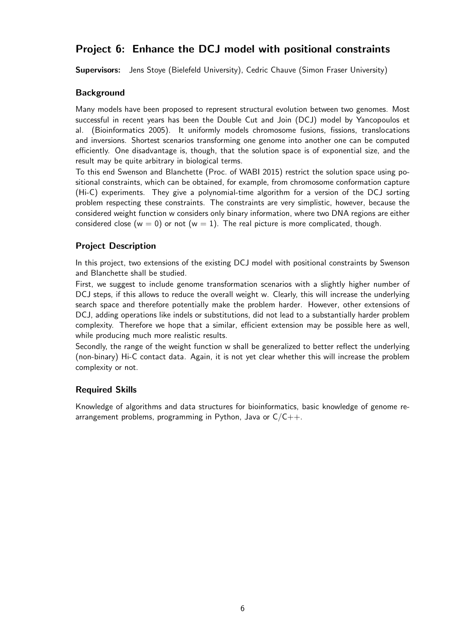## <span id="page-6-0"></span>Project 6: Enhance the DCJ model with positional constraints

Supervisors: Jens Stoye (Bielefeld University), Cedric Chauve (Simon Fraser University)

### **Background**

Many models have been proposed to represent structural evolution between two genomes. Most successful in recent years has been the Double Cut and Join (DCJ) model by Yancopoulos et al. (Bioinformatics 2005). It uniformly models chromosome fusions, fissions, translocations and inversions. Shortest scenarios transforming one genome into another one can be computed efficiently. One disadvantage is, though, that the solution space is of exponential size, and the result may be quite arbitrary in biological terms.

To this end Swenson and Blanchette (Proc. of WABI 2015) restrict the solution space using positional constraints, which can be obtained, for example, from chromosome conformation capture (Hi-C) experiments. They give a polynomial-time algorithm for a version of the DCJ sorting problem respecting these constraints. The constraints are very simplistic, however, because the considered weight function w considers only binary information, where two DNA regions are either considered close (w = 0) or not (w = 1). The real picture is more complicated, though.

## Project Description

In this project, two extensions of the existing DCJ model with positional constraints by Swenson and Blanchette shall be studied.

First, we suggest to include genome transformation scenarios with a slightly higher number of DCJ steps, if this allows to reduce the overall weight w. Clearly, this will increase the underlying search space and therefore potentially make the problem harder. However, other extensions of DCJ, adding operations like indels or substitutions, did not lead to a substantially harder problem complexity. Therefore we hope that a similar, efficient extension may be possible here as well, while producing much more realistic results.

Secondly, the range of the weight function w shall be generalized to better reflect the underlying (non-binary) Hi-C contact data. Again, it is not yet clear whether this will increase the problem complexity or not.

#### Required Skills

Knowledge of algorithms and data structures for bioinformatics, basic knowledge of genome rearrangement problems, programming in Python, Java or  $C/C++$ .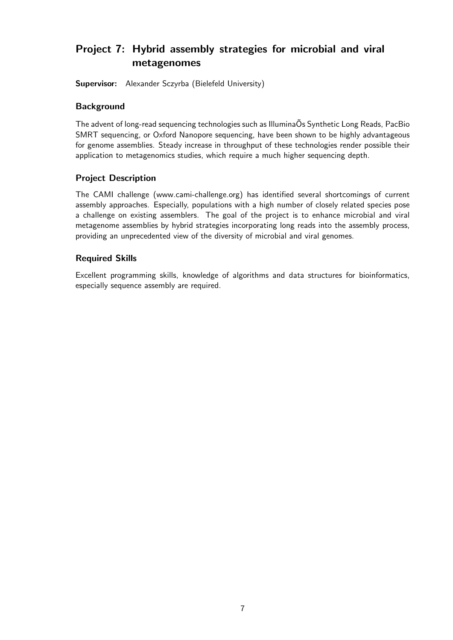## <span id="page-7-0"></span>Project 7: Hybrid assembly strategies for microbial and viral metagenomes

Supervisor: Alexander Sczyrba (Bielefeld University)

#### **Background**

The advent of long-read sequencing technologies such as Illumina OS Synthetic Long Reads, PacBio SMRT sequencing, or Oxford Nanopore sequencing, have been shown to be highly advantageous for genome assemblies. Steady increase in throughput of these technologies render possible their application to metagenomics studies, which require a much higher sequencing depth.

### Project Description

The CAMI challenge (www.cami-challenge.org) has identified several shortcomings of current assembly approaches. Especially, populations with a high number of closely related species pose a challenge on existing assemblers. The goal of the project is to enhance microbial and viral metagenome assemblies by hybrid strategies incorporating long reads into the assembly process, providing an unprecedented view of the diversity of microbial and viral genomes.

#### Required Skills

Excellent programming skills, knowledge of algorithms and data structures for bioinformatics, especially sequence assembly are required.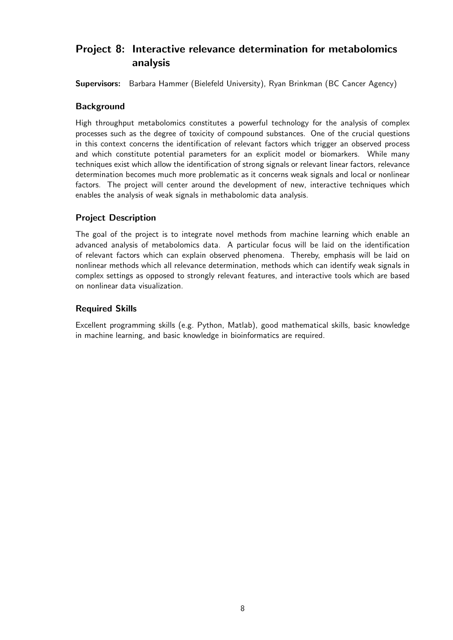## <span id="page-8-0"></span>Project 8: Interactive relevance determination for metabolomics analysis

Supervisors: Barbara Hammer (Bielefeld University), Ryan Brinkman (BC Cancer Agency)

#### **Background**

High throughput metabolomics constitutes a powerful technology for the analysis of complex processes such as the degree of toxicity of compound substances. One of the crucial questions in this context concerns the identification of relevant factors which trigger an observed process and which constitute potential parameters for an explicit model or biomarkers. While many techniques exist which allow the identification of strong signals or relevant linear factors, relevance determination becomes much more problematic as it concerns weak signals and local or nonlinear factors. The project will center around the development of new, interactive techniques which enables the analysis of weak signals in methabolomic data analysis.

### Project Description

The goal of the project is to integrate novel methods from machine learning which enable an advanced analysis of metabolomics data. A particular focus will be laid on the identification of relevant factors which can explain observed phenomena. Thereby, emphasis will be laid on nonlinear methods which all relevance determination, methods which can identify weak signals in complex settings as opposed to strongly relevant features, and interactive tools which are based on nonlinear data visualization.

#### Required Skills

Excellent programming skills (e.g. Python, Matlab), good mathematical skills, basic knowledge in machine learning, and basic knowledge in bioinformatics are required.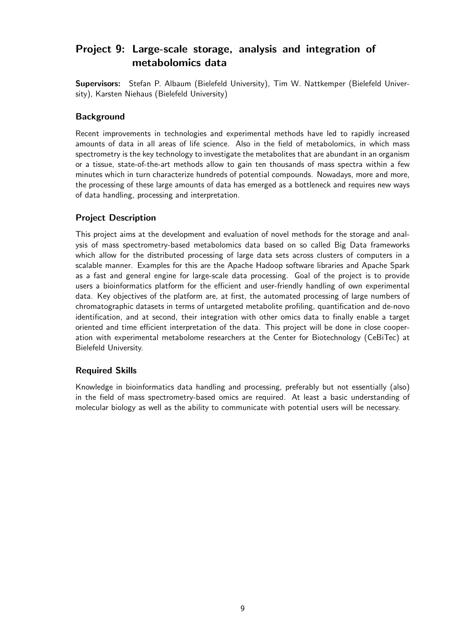## <span id="page-9-0"></span>Project 9: Large-scale storage, analysis and integration of metabolomics data

Supervisors: Stefan P. Albaum (Bielefeld University), Tim W. Nattkemper (Bielefeld University), Karsten Niehaus (Bielefeld University)

### **Background**

Recent improvements in technologies and experimental methods have led to rapidly increased amounts of data in all areas of life science. Also in the field of metabolomics, in which mass spectrometry is the key technology to investigate the metabolites that are abundant in an organism or a tissue, state-of-the-art methods allow to gain ten thousands of mass spectra within a few minutes which in turn characterize hundreds of potential compounds. Nowadays, more and more, the processing of these large amounts of data has emerged as a bottleneck and requires new ways of data handling, processing and interpretation.

## Project Description

This project aims at the development and evaluation of novel methods for the storage and analysis of mass spectrometry-based metabolomics data based on so called Big Data frameworks which allow for the distributed processing of large data sets across clusters of computers in a scalable manner. Examples for this are the Apache Hadoop software libraries and Apache Spark as a fast and general engine for large-scale data processing. Goal of the project is to provide users a bioinformatics platform for the efficient and user-friendly handling of own experimental data. Key objectives of the platform are, at first, the automated processing of large numbers of chromatographic datasets in terms of untargeted metabolite profiling, quantification and de-novo identification, and at second, their integration with other omics data to finally enable a target oriented and time efficient interpretation of the data. This project will be done in close cooperation with experimental metabolome researchers at the Center for Biotechnology (CeBiTec) at Bielefeld University.

#### Required Skills

Knowledge in bioinformatics data handling and processing, preferably but not essentially (also) in the field of mass spectrometry-based omics are required. At least a basic understanding of molecular biology as well as the ability to communicate with potential users will be necessary.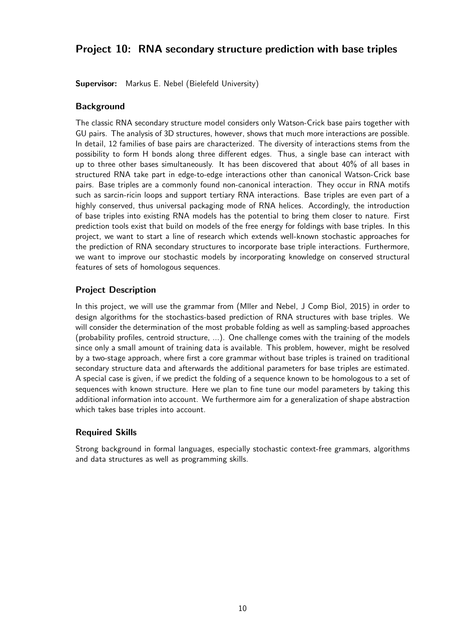## <span id="page-10-0"></span>Project 10: RNA secondary structure prediction with base triples

Supervisor: Markus E. Nebel (Bielefeld University)

#### **Background**

The classic RNA secondary structure model considers only Watson-Crick base pairs together with GU pairs. The analysis of 3D structures, however, shows that much more interactions are possible. In detail, 12 families of base pairs are characterized. The diversity of interactions stems from the possibility to form H bonds along three different edges. Thus, a single base can interact with up to three other bases simultaneously. It has been discovered that about 40% of all bases in structured RNA take part in edge-to-edge interactions other than canonical Watson-Crick base pairs. Base triples are a commonly found non-canonical interaction. They occur in RNA motifs such as sarcin-ricin loops and support tertiary RNA interactions. Base triples are even part of a highly conserved, thus universal packaging mode of RNA helices. Accordingly, the introduction of base triples into existing RNA models has the potential to bring them closer to nature. First prediction tools exist that build on models of the free energy for foldings with base triples. In this project, we want to start a line of research which extends well-known stochastic approaches for the prediction of RNA secondary structures to incorporate base triple interactions. Furthermore, we want to improve our stochastic models by incorporating knowledge on conserved structural features of sets of homologous sequences.

### Project Description

In this project, we will use the grammar from (Mller and Nebel, J Comp Biol, 2015) in order to design algorithms for the stochastics-based prediction of RNA structures with base triples. We will consider the determination of the most probable folding as well as sampling-based approaches (probability profiles, centroid structure, ...). One challenge comes with the training of the models since only a small amount of training data is available. This problem, however, might be resolved by a two-stage approach, where first a core grammar without base triples is trained on traditional secondary structure data and afterwards the additional parameters for base triples are estimated. A special case is given, if we predict the folding of a sequence known to be homologous to a set of sequences with known structure. Here we plan to fine tune our model parameters by taking this additional information into account. We furthermore aim for a generalization of shape abstraction which takes base triples into account.

#### Required Skills

Strong background in formal languages, especially stochastic context-free grammars, algorithms and data structures as well as programming skills.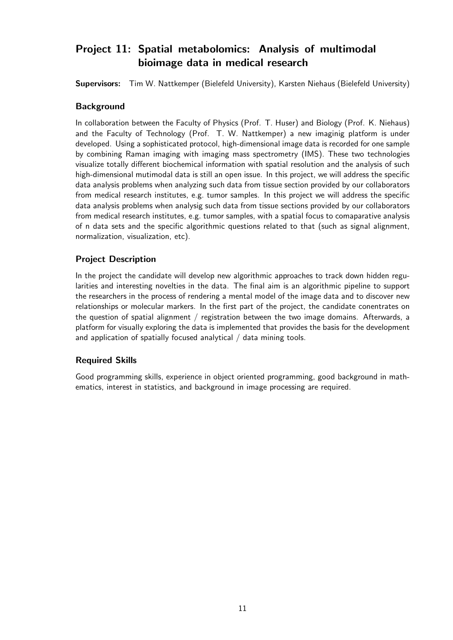## <span id="page-11-0"></span>Project 11: Spatial metabolomics: Analysis of multimodal bioimage data in medical research

Supervisors: Tim W. Nattkemper (Bielefeld University), Karsten Niehaus (Bielefeld University)

#### **Background**

In collaboration between the Faculty of Physics (Prof. T. Huser) and Biology (Prof. K. Niehaus) and the Faculty of Technology (Prof. T. W. Nattkemper) a new imaginig platform is under developed. Using a sophisticated protocol, high-dimensional image data is recorded for one sample by combining Raman imaging with imaging mass spectrometry (IMS). These two technologies visualize totally different biochemical information with spatial resolution and the analysis of such high-dimensional mutimodal data is still an open issue. In this project, we will address the specific data analysis problems when analyzing such data from tissue section provided by our collaborators from medical research institutes, e.g. tumor samples. In this project we will address the specific data analysis problems when analysig such data from tissue sections provided by our collaborators from medical research institutes, e.g. tumor samples, with a spatial focus to comaparative analysis of n data sets and the specific algorithmic questions related to that (such as signal alignment, normalization, visualization, etc).

## Project Description

In the project the candidate will develop new algorithmic approaches to track down hidden regularities and interesting novelties in the data. The final aim is an algorithmic pipeline to support the researchers in the process of rendering a mental model of the image data and to discover new relationships or molecular markers. In the first part of the project, the candidate conentrates on the question of spatial alignment / registration between the two image domains. Afterwards, a platform for visually exploring the data is implemented that provides the basis for the development and application of spatially focused analytical / data mining tools.

## Required Skills

Good programming skills, experience in object oriented programming, good background in mathematics, interest in statistics, and background in image processing are required.